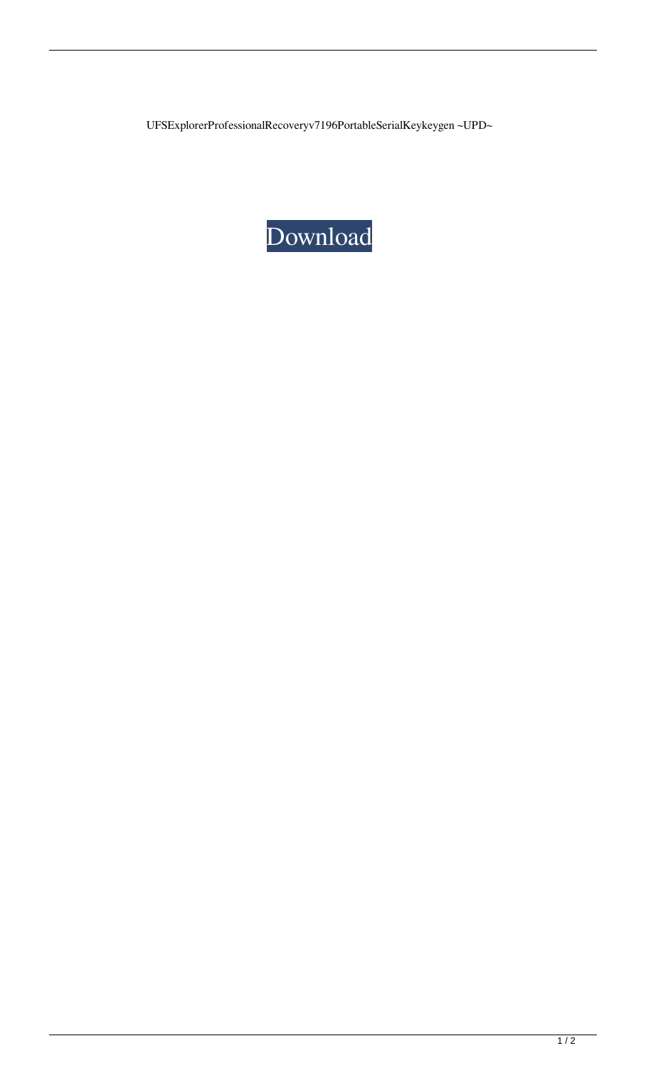UFSExplorerProfessionalRecoveryv7196PortableSerialKeykeygen ~UPD~